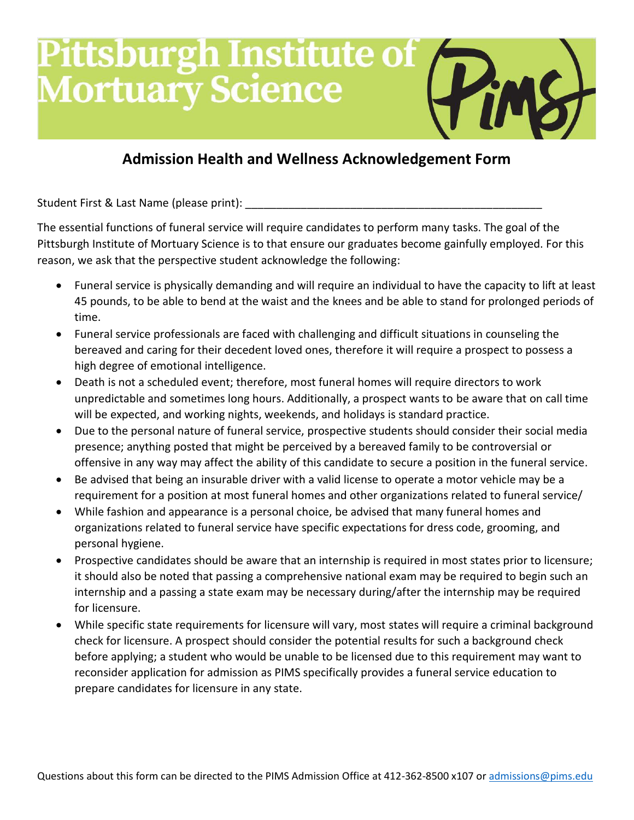## **Pittsburgh Institute of<br>Mortuary Science**

### **Admission Health and Wellness Acknowledgement Form**

Student First & Last Name (please print):

The essential functions of funeral service will require candidates to perform many tasks. The goal of the Pittsburgh Institute of Mortuary Science is to that ensure our graduates become gainfully employed. For this reason, we ask that the perspective student acknowledge the following:

- Funeral service is physically demanding and will require an individual to have the capacity to lift at least 45 pounds, to be able to bend at the waist and the knees and be able to stand for prolonged periods of time.
- Funeral service professionals are faced with challenging and difficult situations in counseling the bereaved and caring for their decedent loved ones, therefore it will require a prospect to possess a high degree of emotional intelligence.
- Death is not a scheduled event; therefore, most funeral homes will require directors to work unpredictable and sometimes long hours. Additionally, a prospect wants to be aware that on call time will be expected, and working nights, weekends, and holidays is standard practice.
- Due to the personal nature of funeral service, prospective students should consider their social media presence; anything posted that might be perceived by a bereaved family to be controversial or offensive in any way may affect the ability of this candidate to secure a position in the funeral service.
- Be advised that being an insurable driver with a valid license to operate a motor vehicle may be a requirement for a position at most funeral homes and other organizations related to funeral service/
- While fashion and appearance is a personal choice, be advised that many funeral homes and organizations related to funeral service have specific expectations for dress code, grooming, and personal hygiene.
- Prospective candidates should be aware that an internship is required in most states prior to licensure; it should also be noted that passing a comprehensive national exam may be required to begin such an internship and a passing a state exam may be necessary during/after the internship may be required for licensure.
- While specific state requirements for licensure will vary, most states will require a criminal background check for licensure. A prospect should consider the potential results for such a background check before applying; a student who would be unable to be licensed due to this requirement may want to reconsider application for admission as PIMS specifically provides a funeral service education to prepare candidates for licensure in any state.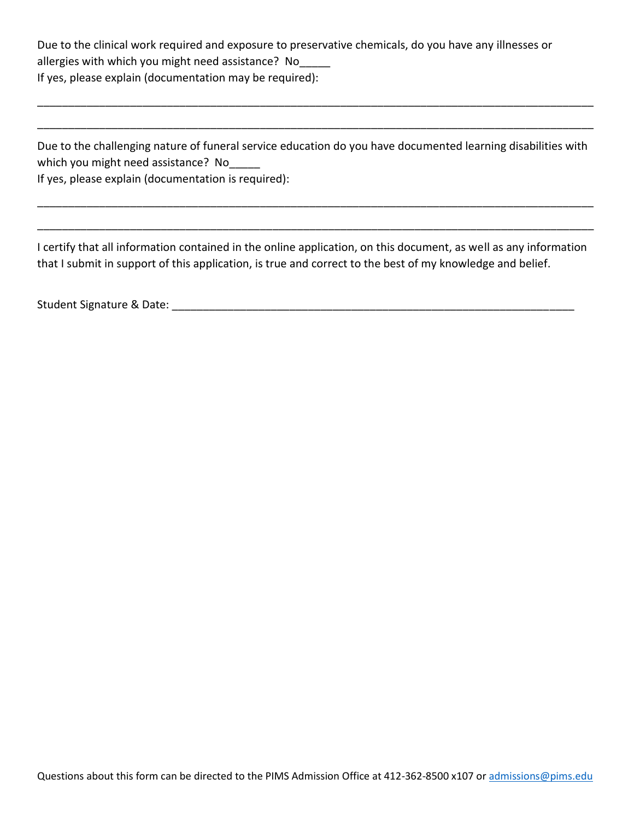Due to the clinical work required and exposure to preservative chemicals, do you have any illnesses or allergies with which you might need assistance? No\_\_\_\_\_ If yes, please explain (documentation may be required):

Due to the challenging nature of funeral service education do you have documented learning disabilities with which you might need assistance? No

\_\_\_\_\_\_\_\_\_\_\_\_\_\_\_\_\_\_\_\_\_\_\_\_\_\_\_\_\_\_\_\_\_\_\_\_\_\_\_\_\_\_\_\_\_\_\_\_\_\_\_\_\_\_\_\_\_\_\_\_\_\_\_\_\_\_\_\_\_\_\_\_\_\_\_\_\_\_\_\_\_\_\_\_\_\_\_\_\_\_

\_\_\_\_\_\_\_\_\_\_\_\_\_\_\_\_\_\_\_\_\_\_\_\_\_\_\_\_\_\_\_\_\_\_\_\_\_\_\_\_\_\_\_\_\_\_\_\_\_\_\_\_\_\_\_\_\_\_\_\_\_\_\_\_\_\_\_\_\_\_\_\_\_\_\_\_\_\_\_\_\_\_\_\_\_\_\_\_\_\_

\_\_\_\_\_\_\_\_\_\_\_\_\_\_\_\_\_\_\_\_\_\_\_\_\_\_\_\_\_\_\_\_\_\_\_\_\_\_\_\_\_\_\_\_\_\_\_\_\_\_\_\_\_\_\_\_\_\_\_\_\_\_\_\_\_\_\_\_\_\_\_\_\_\_\_\_\_\_\_\_\_\_\_\_\_\_\_\_\_\_

\_\_\_\_\_\_\_\_\_\_\_\_\_\_\_\_\_\_\_\_\_\_\_\_\_\_\_\_\_\_\_\_\_\_\_\_\_\_\_\_\_\_\_\_\_\_\_\_\_\_\_\_\_\_\_\_\_\_\_\_\_\_\_\_\_\_\_\_\_\_\_\_\_\_\_\_\_\_\_\_\_\_\_\_\_\_\_\_\_\_

If yes, please explain (documentation is required):

I certify that all information contained in the online application, on this document, as well as any information that I submit in support of this application, is true and correct to the best of my knowledge and belief.

Student Signature & Date: **Example 20** and 20 and 20 and 20 and 20 and 20 and 20 and 20 and 20 and 20 and 20 and 20 and 20 and 20 and 20 and 20 and 20 and 20 and 20 and 20 and 20 and 20 and 20 and 20 and 20 and 20 and 20 a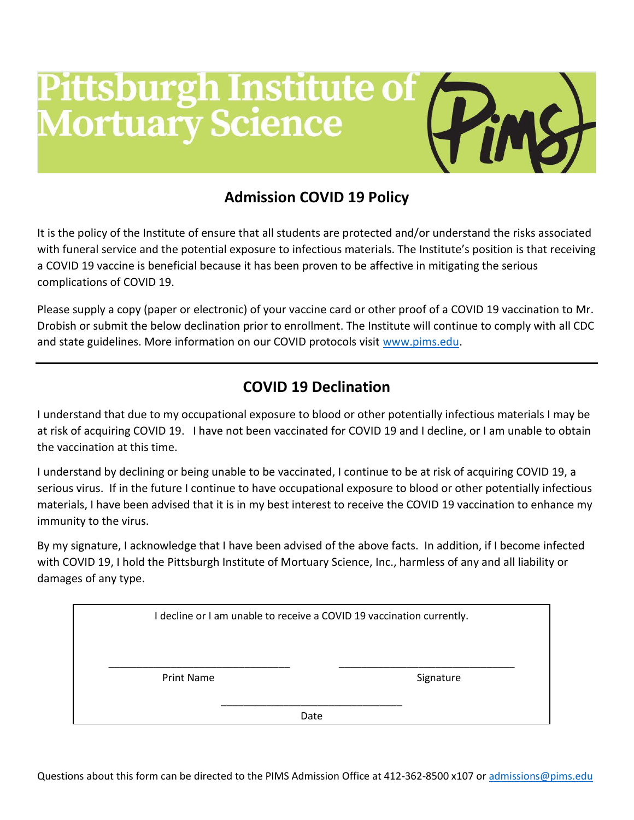### **Pittsburgh Institute of<br>Mortuary Science**

### **Admission COVID 19 Policy**

It is the policy of the Institute of ensure that all students are protected and/or understand the risks associated with funeral service and the potential exposure to infectious materials. The Institute's position is that receiving a COVID 19 vaccine is beneficial because it has been proven to be affective in mitigating the serious complications of COVID 19.

Please supply a copy (paper or electronic) of your vaccine card or other proof of a COVID 19 vaccination to Mr. Drobish or submit the below declination prior to enrollment. The Institute will continue to comply with all CDC and state guidelines. More information on our COVID protocols visit [www.pims.edu.](http://www.pims.edu/)

### **COVID 19 Declination**

I understand that due to my occupational exposure to blood or other potentially infectious materials I may be at risk of acquiring COVID 19. I have not been vaccinated for COVID 19 and I decline, or I am unable to obtain the vaccination at this time.

I understand by declining or being unable to be vaccinated, I continue to be at risk of acquiring COVID 19, a serious virus. If in the future I continue to have occupational exposure to blood or other potentially infectious materials, I have been advised that it is in my best interest to receive the COVID 19 vaccination to enhance my immunity to the virus.

By my signature, I acknowledge that I have been advised of the above facts. In addition, if I become infected with COVID 19, I hold the Pittsburgh Institute of Mortuary Science, Inc., harmless of any and all liability or damages of any type.

|                   |      | I decline or I am unable to receive a COVID 19 vaccination currently. |  |
|-------------------|------|-----------------------------------------------------------------------|--|
| <b>Print Name</b> |      | Signature                                                             |  |
|                   | Date |                                                                       |  |